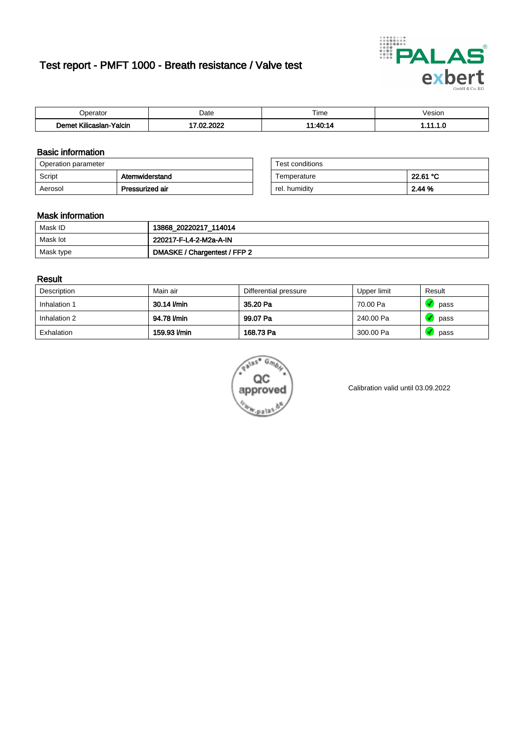# Test report - PMFT 1000 - Breath resistance / Valve test



| n<br>aw                                                   | Date     | $- \cdot$<br>i ime | esion/ |
|-----------------------------------------------------------|----------|--------------------|--------|
| -<br><b>SAME</b><br>Yalcin<br>aslan<br>KIIIC <sup>2</sup> | 000<br>. | 14.40.4            | .      |

### Basic information

| Operation parameter |                 | Test conditions |          |
|---------------------|-----------------|-----------------|----------|
| Script              | Atemwiderstand  | Temperature     | 22.61 °C |
| Aerosol             | Pressurized air | rel. humidity   | 2.44 %   |

| Test conditions |          |
|-----------------|----------|
| Temperature     | 22.61 °C |
| rel. humidity   | 2.44%    |

### Mask information

| Mask ID   | 13868_20220217_114014        |
|-----------|------------------------------|
| Mask lot  | 220217-F-L4-2-M2a-A-IN       |
| Mask type | DMASKE / Chargentest / FFP 2 |

### Result

| Description  | Main air     | Differential pressure | Upper limit | Result |
|--------------|--------------|-----------------------|-------------|--------|
| Inhalation 1 | 30.14 l/min  | 35.20 Pa              | 70.00 Pa    | pass   |
| Inhalation 2 | 94.78 l/min  | 99.07 Pa              | 240.00 Pa   | pass   |
| Exhalation   | 159.93 l/min | 168.73 Pa             | 300.00 Pa   | pass   |



Calibration valid until 03.09.2022